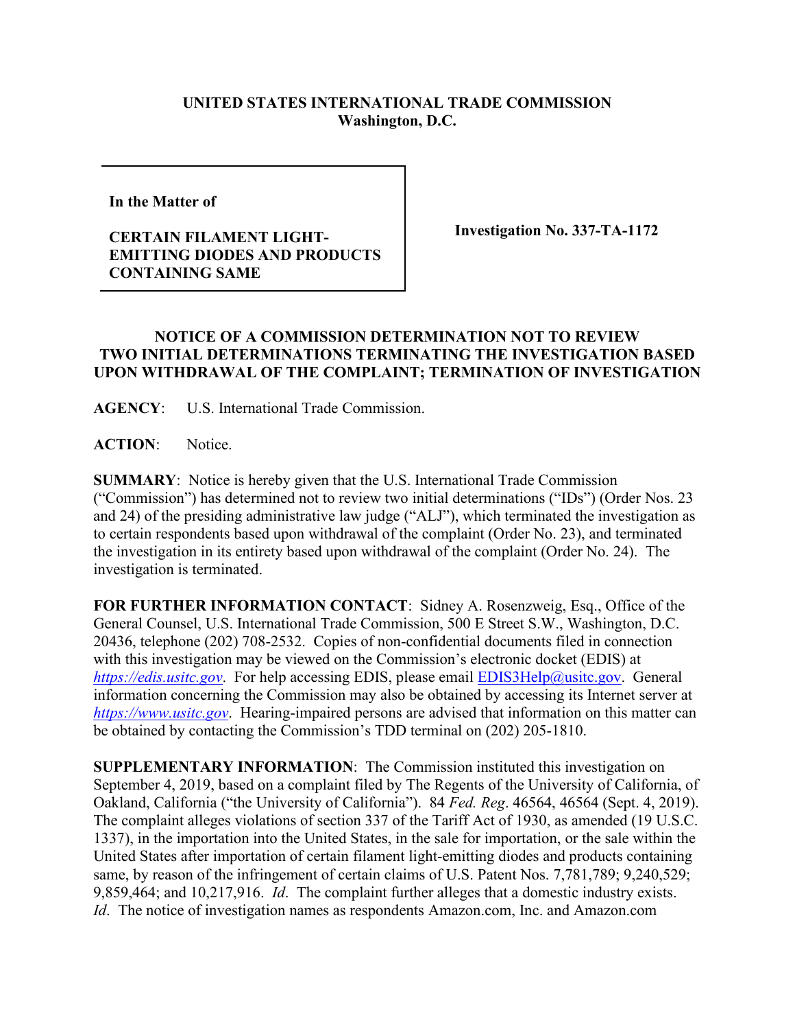## **UNITED STATES INTERNATIONAL TRADE COMMISSION Washington, D.C.**

**In the Matter of** 

## **CERTAIN FILAMENT LIGHT-EMITTING DIODES AND PRODUCTS CONTAINING SAME**

**Investigation No. 337-TA-1172**

## **NOTICE OF A COMMISSION DETERMINATION NOT TO REVIEW TWO INITIAL DETERMINATIONS TERMINATING THE INVESTIGATION BASED UPON WITHDRAWAL OF THE COMPLAINT; TERMINATION OF INVESTIGATION**

**AGENCY**: U.S. International Trade Commission.

**ACTION**: Notice.

**SUMMARY**: Notice is hereby given that the U.S. International Trade Commission ("Commission") has determined not to review two initial determinations ("IDs") (Order Nos. 23 and 24) of the presiding administrative law judge ("ALJ"), which terminated the investigation as to certain respondents based upon withdrawal of the complaint (Order No. 23), and terminated the investigation in its entirety based upon withdrawal of the complaint (Order No. 24). The investigation is terminated.

**FOR FURTHER INFORMATION CONTACT**: Sidney A. Rosenzweig, Esq., Office of the General Counsel, U.S. International Trade Commission, 500 E Street S.W., Washington, D.C. 20436, telephone (202) 708-2532. Copies of non-confidential documents filed in connection with this investigation may be viewed on the Commission's electronic docket (EDIS) at *[https://edis.usitc.gov](https://edis.usitc.gov/).* For help accessing EDIS, please email [EDIS3Help@usitc.gov.](mailto:EDIS3Help@usitc.gov) General information concerning the Commission may also be obtained by accessing its Internet server at *[https://www.usitc.gov](https://www.usitc.gov/)*. Hearing-impaired persons are advised that information on this matter can be obtained by contacting the Commission's TDD terminal on (202) 205-1810.

**SUPPLEMENTARY INFORMATION**: The Commission instituted this investigation on September 4, 2019, based on a complaint filed by The Regents of the University of California, of Oakland, California ("the University of California"). 84 *Fed. Reg*. 46564, 46564 (Sept. 4, 2019). The complaint alleges violations of section 337 of the Tariff Act of 1930, as amended (19 U.S.C. 1337), in the importation into the United States, in the sale for importation, or the sale within the United States after importation of certain filament light-emitting diodes and products containing same, by reason of the infringement of certain claims of U.S. Patent Nos. 7,781,789; 9,240,529; 9,859,464; and 10,217,916. *Id*. The complaint further alleges that a domestic industry exists. *Id*. The notice of investigation names as respondents Amazon.com, Inc. and Amazon.com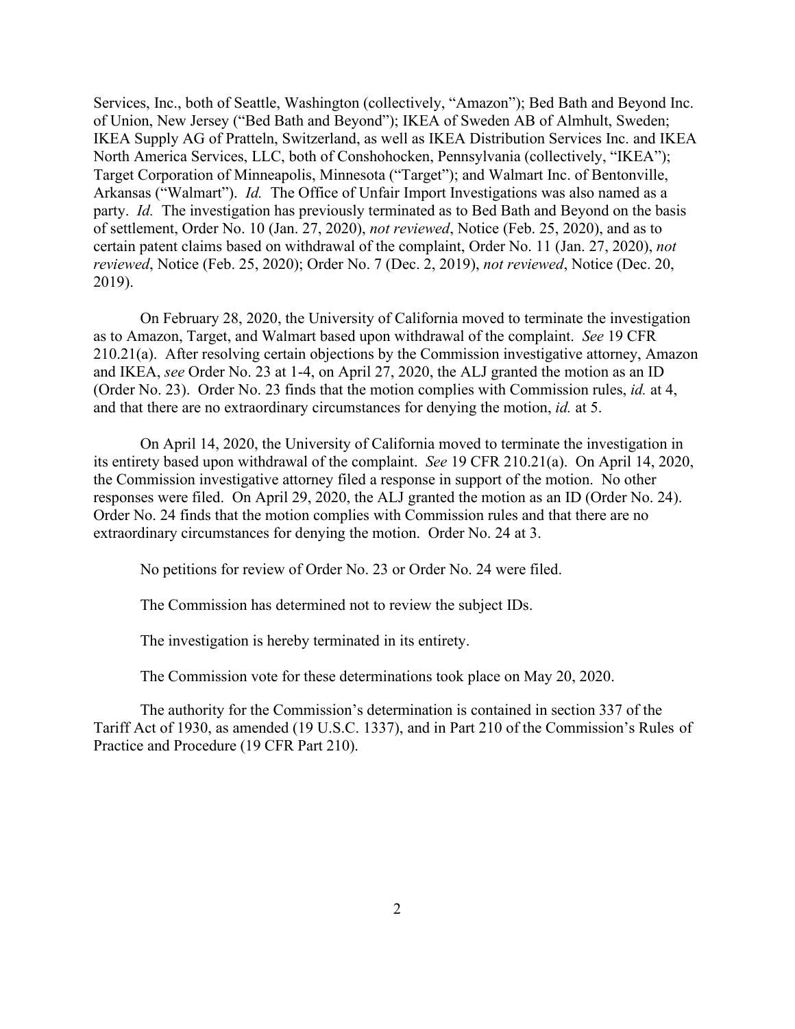Services, Inc., both of Seattle, Washington (collectively, "Amazon"); Bed Bath and Beyond Inc. of Union, New Jersey ("Bed Bath and Beyond"); IKEA of Sweden AB of Almhult, Sweden; IKEA Supply AG of Pratteln, Switzerland, as well as IKEA Distribution Services Inc. and IKEA North America Services, LLC, both of Conshohocken, Pennsylvania (collectively, "IKEA"); Target Corporation of Minneapolis, Minnesota ("Target"); and Walmart Inc. of Bentonville, Arkansas ("Walmart"). *Id.* The Office of Unfair Import Investigations was also named as a party. *Id.* The investigation has previously terminated as to Bed Bath and Beyond on the basis of settlement, Order No. 10 (Jan. 27, 2020), *not reviewed*, Notice (Feb. 25, 2020), and as to certain patent claims based on withdrawal of the complaint, Order No. 11 (Jan. 27, 2020), *not reviewed*, Notice (Feb. 25, 2020); Order No. 7 (Dec. 2, 2019), *not reviewed*, Notice (Dec. 20, 2019).

On February 28, 2020, the University of California moved to terminate the investigation as to Amazon, Target, and Walmart based upon withdrawal of the complaint. *See* 19 CFR 210.21(a). After resolving certain objections by the Commission investigative attorney, Amazon and IKEA, *see* Order No. 23 at 1-4, on April 27, 2020, the ALJ granted the motion as an ID (Order No. 23). Order No. 23 finds that the motion complies with Commission rules, *id.* at 4, and that there are no extraordinary circumstances for denying the motion, *id.* at 5.

On April 14, 2020, the University of California moved to terminate the investigation in its entirety based upon withdrawal of the complaint. *See* 19 CFR 210.21(a). On April 14, 2020, the Commission investigative attorney filed a response in support of the motion. No other responses were filed. On April 29, 2020, the ALJ granted the motion as an ID (Order No. 24). Order No. 24 finds that the motion complies with Commission rules and that there are no extraordinary circumstances for denying the motion. Order No. 24 at 3.

No petitions for review of Order No. 23 or Order No. 24 were filed.

The Commission has determined not to review the subject IDs.

The investigation is hereby terminated in its entirety.

The Commission vote for these determinations took place on May 20, 2020.

The authority for the Commission's determination is contained in section 337 of the Tariff Act of 1930, as amended (19 U.S.C. 1337), and in Part 210 of the Commission's Rules of Practice and Procedure (19 CFR Part 210).